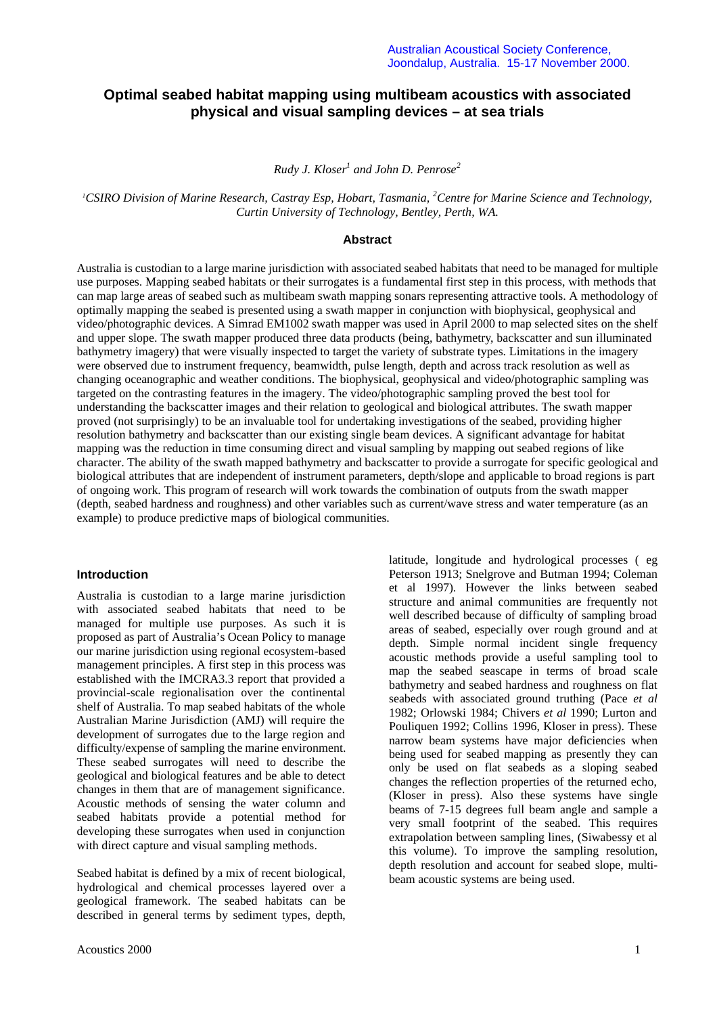# **Optimal seabed habitat mapping using multibeam acoustics with associated physical and visual sampling devices – at sea trials**

*Rudy J. Kloser<sup>1</sup> and John D. Penrose<sup>2</sup>*

<sup>1</sup><sup>*CSIRO Division of Marine Research, Castray Esp, Hobart, Tasmania, <sup>2</sup><i>Centre for Marine Science and Technology,*</sup> *Curtin University of Technology, Bentley, Perth, WA.*

### **Abstract**

Australia is custodian to a large marine jurisdiction with associated seabed habitats that need to be managed for multiple use purposes. Mapping seabed habitats or their surrogates is a fundamental first step in this process, with methods that can map large areas of seabed such as multibeam swath mapping sonars representing attractive tools. A methodology of optimally mapping the seabed is presented using a swath mapper in conjunction with biophysical, geophysical and video/photographic devices. A Simrad EM1002 swath mapper was used in April 2000 to map selected sites on the shelf and upper slope. The swath mapper produced three data products (being, bathymetry, backscatter and sun illuminated bathymetry imagery) that were visually inspected to target the variety of substrate types. Limitations in the imagery were observed due to instrument frequency, beamwidth, pulse length, depth and across track resolution as well as changing oceanographic and weather conditions. The biophysical, geophysical and video/photographic sampling was targeted on the contrasting features in the imagery. The video/photographic sampling proved the best tool for understanding the backscatter images and their relation to geological and biological attributes. The swath mapper proved (not surprisingly) to be an invaluable tool for undertaking investigations of the seabed, providing higher resolution bathymetry and backscatter than our existing single beam devices. A significant advantage for habitat mapping was the reduction in time consuming direct and visual sampling by mapping out seabed regions of like character. The ability of the swath mapped bathymetry and backscatter to provide a surrogate for specific geological and biological attributes that are independent of instrument parameters, depth/slope and applicable to broad regions is part of ongoing work. This program of research will work towards the combination of outputs from the swath mapper (depth, seabed hardness and roughness) and other variables such as current/wave stress and water temperature (as an example) to produce predictive maps of biological communities.

#### **Introduction**

Australia is custodian to a large marine jurisdiction with associated seabed habitats that need to be managed for multiple use purposes. As such it is proposed as part of Australia's Ocean Policy to manage our marine jurisdiction using regional ecosystem-based management principles. A first step in this process was established with the IMCRA3.3 report that provided a provincial-scale regionalisation over the continental shelf of Australia. To map seabed habitats of the whole Australian Marine Jurisdiction (AMJ) will require the development of surrogates due to the large region and difficulty/expense of sampling the marine environment. These seabed surrogates will need to describe the geological and biological features and be able to detect changes in them that are of management significance. Acoustic methods of sensing the water column and seabed habitats provide a potential method for developing these surrogates when used in conjunction with direct capture and visual sampling methods.

Seabed habitat is defined by a mix of recent biological, hydrological and chemical processes layered over a geological framework. The seabed habitats can be described in general terms by sediment types, depth,

Peterson 1913; Snelgrove and Butman 1994; Coleman et al 1997). However the links between seabed structure and animal communities are frequently not well described because of difficulty of sampling broad areas of seabed, especially over rough ground and at depth. Simple normal incident single frequency acoustic methods provide a useful sampling tool to map the seabed seascape in terms of broad scale bathymetry and seabed hardness and roughness on flat seabeds with associated ground truthing (Pace *et al* 1982; Orlowski 1984; Chivers *et al* 1990; Lurton and Pouliquen 1992; Collins 1996, Kloser in press). These narrow beam systems have major deficiencies when being used for seabed mapping as presently they can only be used on flat seabeds as a sloping seabed changes the reflection properties of the returned echo, (Kloser in press). Also these systems have single beams of 7-15 degrees full beam angle and sample a very small footprint of the seabed. This requires extrapolation between sampling lines, (Siwabessy et al this volume). To improve the sampling resolution, depth resolution and account for seabed slope, multibeam acoustic systems are being used.

latitude, longitude and hydrological processes ( eg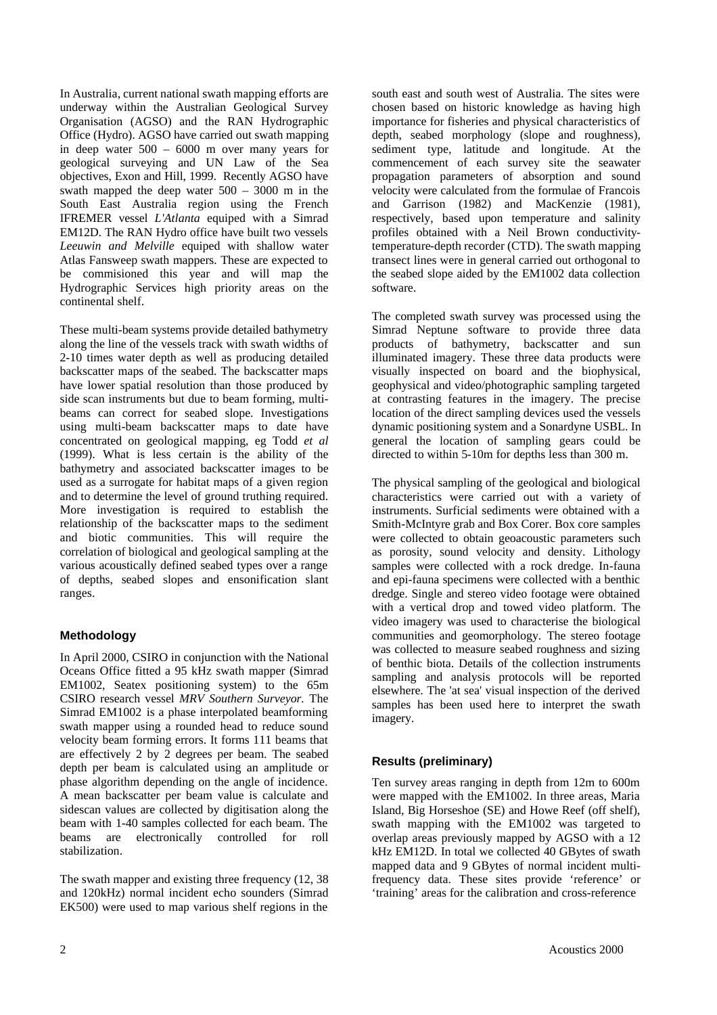In Australia, current national swath mapping efforts are underway within the Australian Geological Survey Organisation (AGSO) and the RAN Hydrographic Office (Hydro). AGSO have carried out swath mapping in deep water 500 – 6000 m over many years for geological surveying and UN Law of the Sea objectives, Exon and Hill, 1999. Recently AGSO have swath mapped the deep water 500 – 3000 m in the South East Australia region using the French IFREMER vessel *L'Atlanta* equiped with a Simrad EM12D. The RAN Hydro office have built two vessels *Leeuwin and Melville* equiped with shallow water Atlas Fansweep swath mappers. These are expected to be commisioned this year and will map the Hydrographic Services high priority areas on the continental shelf.

These multi-beam systems provide detailed bathymetry along the line of the vessels track with swath widths of 2-10 times water depth as well as producing detailed backscatter maps of the seabed. The backscatter maps have lower spatial resolution than those produced by side scan instruments but due to beam forming, multibeams can correct for seabed slope. Investigations using multi-beam backscatter maps to date have concentrated on geological mapping, eg Todd *et al* (1999). What is less certain is the ability of the bathymetry and associated backscatter images to be used as a surrogate for habitat maps of a given region and to determine the level of ground truthing required. More investigation is required to establish the relationship of the backscatter maps to the sediment and biotic communities. This will require the correlation of biological and geological sampling at the various acoustically defined seabed types over a range of depths, seabed slopes and ensonification slant ranges.

# **Methodology**

In April 2000, CSIRO in conjunction with the National Oceans Office fitted a 95 kHz swath mapper (Simrad EM1002, Seatex positioning system) to the 65m CSIRO research vessel *MRV Southern Surveyor.* The Simrad EM1002 is a phase interpolated beamforming swath mapper using a rounded head to reduce sound velocity beam forming errors. It forms 111 beams that are effectively 2 by 2 degrees per beam. The seabed depth per beam is calculated using an amplitude or phase algorithm depending on the angle of incidence. A mean backscatter per beam value is calculate and sidescan values are collected by digitisation along the beam with 1-40 samples collected for each beam. The beams are electronically controlled for roll stabilization.

The swath mapper and existing three frequency (12, 38) and 120kHz) normal incident echo sounders (Simrad EK500) were used to map various shelf regions in the

south east and south west of Australia. The sites were chosen based on historic knowledge as having high importance for fisheries and physical characteristics of depth, seabed morphology (slope and roughness), sediment type, latitude and longitude. At the commencement of each survey site the seawater propagation parameters of absorption and sound velocity were calculated from the formulae of Francois and Garrison (1982) and MacKenzie (1981), respectively, based upon temperature and salinity profiles obtained with a Neil Brown conductivitytemperature-depth recorder (CTD). The swath mapping transect lines were in general carried out orthogonal to the seabed slope aided by the EM1002 data collection software.

The completed swath survey was processed using the Simrad Neptune software to provide three data products of bathymetry, backscatter and sun illuminated imagery. These three data products were visually inspected on board and the biophysical, geophysical and video/photographic sampling targeted at contrasting features in the imagery. The precise location of the direct sampling devices used the vessels dynamic positioning system and a Sonardyne USBL. In general the location of sampling gears could be directed to within 5-10m for depths less than 300 m.

The physical sampling of the geological and biological characteristics were carried out with a variety of instruments. Surficial sediments were obtained with a Smith-McIntyre grab and Box Corer. Box core samples were collected to obtain geoacoustic parameters such as porosity, sound velocity and density. Lithology samples were collected with a rock dredge. In-fauna and epi-fauna specimens were collected with a benthic dredge. Single and stereo video footage were obtained with a vertical drop and towed video platform. The video imagery was used to characterise the biological communities and geomorphology. The stereo footage was collected to measure seabed roughness and sizing of benthic biota. Details of the collection instruments sampling and analysis protocols will be reported elsewhere. The 'at sea' visual inspection of the derived samples has been used here to interpret the swath imagery.

## **Results (preliminary)**

Ten survey areas ranging in depth from 12m to 600m were mapped with the EM1002. In three areas, Maria Island, Big Horseshoe (SE) and Howe Reef (off shelf), swath mapping with the EM1002 was targeted to overlap areas previously mapped by AGSO with a 12 kHz EM12D. In total we collected 40 GBytes of swath mapped data and 9 GBytes of normal incident multifrequency data. These sites provide 'reference' or 'training' areas for the calibration and cross-reference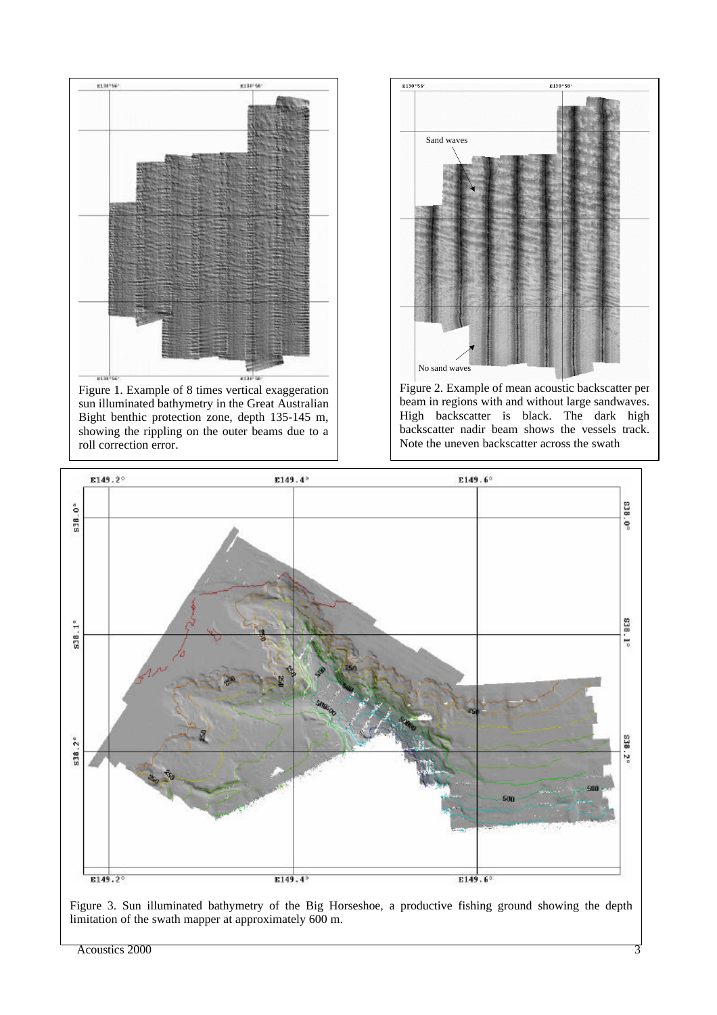

Figure 1. Example of 8 times vertical exaggeration sun illuminated bathymetry in the Great Australian Bight benthic protection zone, depth 135-145 m, showing the rippling on the outer beams due to a roll correction error.



Figure 2. Example of mean acoustic backscatter per beam in regions with and without large sandwaves. High backscatter is black. The dark high backscatter nadir beam shows the vessels track. Note the uneven backscatter across the swath



Figure 3. Sun illuminated bathymetry of the Big Horseshoe, a productive fishing ground showing the depth limitation of the swath mapper at approximately 600 m.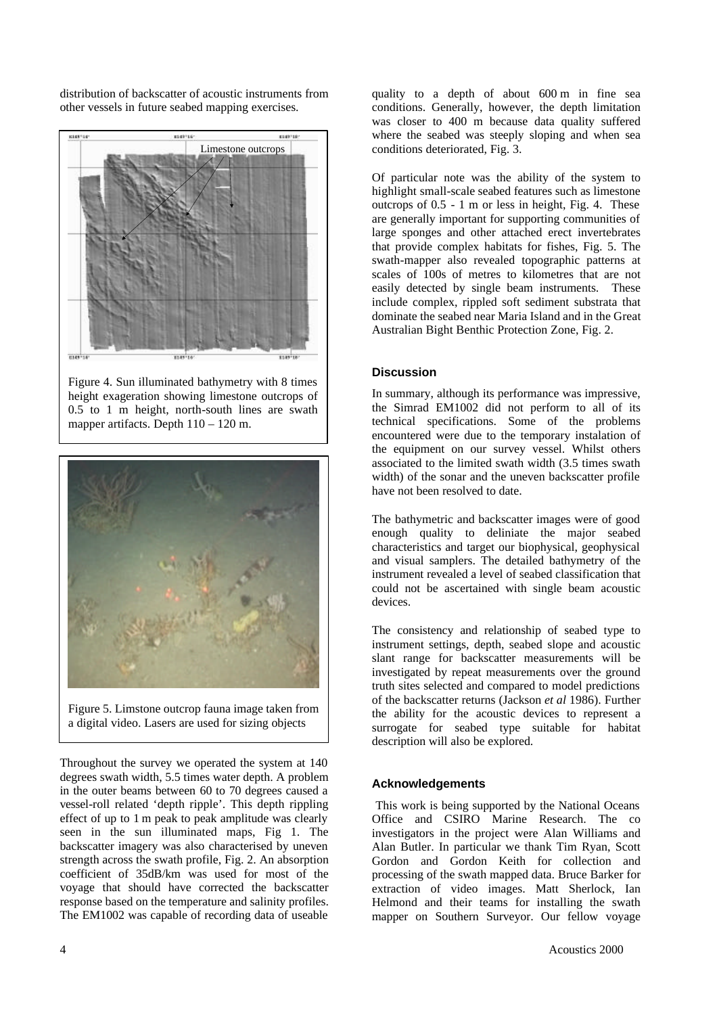distribution of backscatter of acoustic instruments from other vessels in future seabed mapping exercises.



Figure 4. Sun illuminated bathymetry with 8 times height exageration showing limestone outcrops of 0.5 to 1 m height, north-south lines are swath mapper artifacts. Depth 110 – 120 m.



Figure 5. Limstone outcrop fauna image taken from a digital video. Lasers are used for sizing objects

Throughout the survey we operated the system at 140 degrees swath width, 5.5 times water depth. A problem in the outer beams between 60 to 70 degrees caused a vessel-roll related 'depth ripple'. This depth rippling effect of up to 1 m peak to peak amplitude was clearly seen in the sun illuminated maps, Fig 1. The backscatter imagery was also characterised by uneven strength across the swath profile, Fig. 2. An absorption coefficient of 35dB/km was used for most of the voyage that should have corrected the backscatter response based on the temperature and salinity profiles. The EM1002 was capable of recording data of useable

quality to a depth of about 600 m in fine sea conditions. Generally, however, the depth limitation was closer to 400 m because data quality suffered where the seabed was steeply sloping and when sea conditions deteriorated, Fig. 3.

Of particular note was the ability of the system to highlight small-scale seabed features such as limestone outcrops of 0.5 - 1 m or less in height, Fig. 4. These are generally important for supporting communities of large sponges and other attached erect invertebrates that provide complex habitats for fishes, Fig. 5. The swath-mapper also revealed topographic patterns at scales of 100s of metres to kilometres that are not easily detected by single beam instruments. These include complex, rippled soft sediment substrata that dominate the seabed near Maria Island and in the Great Australian Bight Benthic Protection Zone, Fig. 2.

### **Discussion**

In summary, although its performance was impressive, the Simrad EM1002 did not perform to all of its technical specifications. Some of the problems encountered were due to the temporary instalation of the equipment on our survey vessel. Whilst others associated to the limited swath width (3.5 times swath width) of the sonar and the uneven backscatter profile have not been resolved to date.

The bathymetric and backscatter images were of good enough quality to deliniate the major seabed characteristics and target our biophysical, geophysical and visual samplers. The detailed bathymetry of the instrument revealed a level of seabed classification that could not be ascertained with single beam acoustic devices.

The consistency and relationship of seabed type to instrument settings, depth, seabed slope and acoustic slant range for backscatter measurements will be investigated by repeat measurements over the ground truth sites selected and compared to model predictions of the backscatter returns (Jackson *et al* 1986). Further the ability for the acoustic devices to represent a surrogate for seabed type suitable for habitat description will also be explored.

## **Acknowledgements**

 This work is being supported by the National Oceans Office and CSIRO Marine Research. The co investigators in the project were Alan Williams and Alan Butler. In particular we thank Tim Ryan, Scott Gordon and Gordon Keith for collection and processing of the swath mapped data. Bruce Barker for extraction of video images. Matt Sherlock, Ian Helmond and their teams for installing the swath mapper on Southern Surveyor. Our fellow voyage